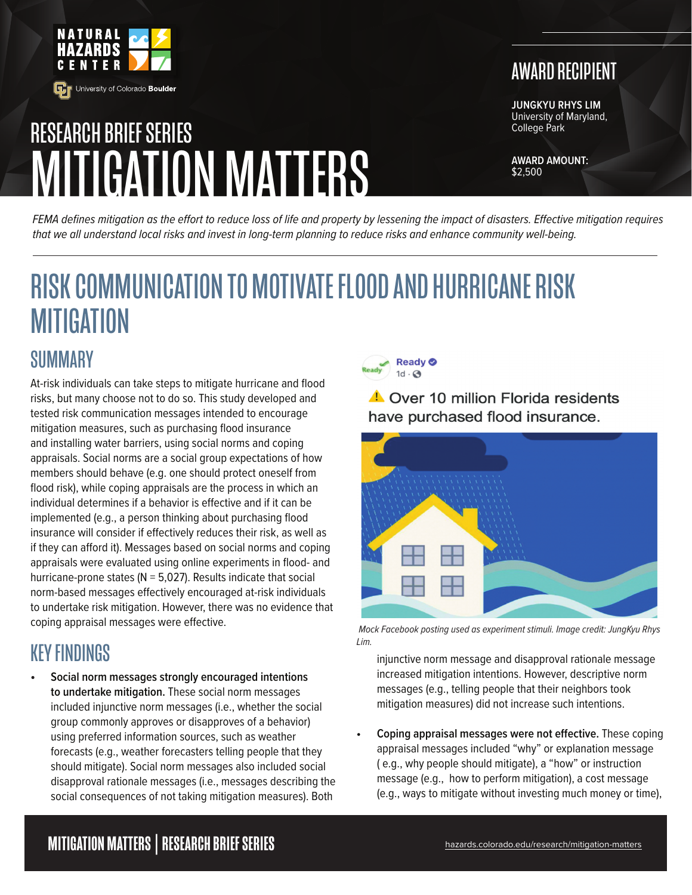

# MITIGATION MATTERS RESEARCH BRIEF SERIES

# AWARD RECIPIENT

**JUNGKYU RHYS LIM** University of Maryland, College Park

**AWARD AMOUNT:** \$2,500

*FEMA defines mitigation as the effort to reduce loss of life and property by lessening the impact of disasters. Effective mitigation requires that we all understand local risks and invest in long-term planning to reduce risks and enhance community well-being.*

# RISK COMMUNICATION TO MOTIVATE FLOOD AND HURRICANE RISK **MITIGATION**

#### **SUMMARY**

At-risk individuals can take steps to mitigate hurricane and flood risks, but many choose not to do so. This study developed and tested risk communication messages intended to encourage mitigation measures, such as purchasing flood insurance and installing water barriers, using social norms and coping appraisals. Social norms are a social group expectations of how members should behave (e.g. one should protect oneself from flood risk), while coping appraisals are the process in which an individual determines if a behavior is effective and if it can be implemented (e.g., a person thinking about purchasing flood insurance will consider if effectively reduces their risk, as well as if they can afford it). Messages based on social norms and coping appraisals were evaluated using online experiments in flood- and hurricane-prone states ( $N = 5,027$ ). Results indicate that social norm-based messages effectively encouraged at-risk individuals to undertake risk mitigation. However, there was no evidence that coping appraisal messages were effective.

## KEY FINDINGS

**• Social norm messages strongly encouraged intentions to undertake mitigation.** These social norm messages included injunctive norm messages (i.e., whether the social group commonly approves or disapproves of a behavior) using preferred information sources, such as weather forecasts (e.g., weather forecasters telling people that they should mitigate). Social norm messages also included social disapproval rationale messages (i.e., messages describing the social consequences of not taking mitigation measures). Both



**A** Over 10 million Florida residents have purchased flood insurance.



 *Mock Facebook posting used as experiment stimuli. Image credit: JungKyu Rhys Lim.*

injunctive norm message and disapproval rationale message increased mitigation intentions. However, descriptive norm messages (e.g., telling people that their neighbors took mitigation measures) did not increase such intentions.

**• Coping appraisal messages were not effective.** These coping appraisal messages included "why" or explanation message ( e.g., why people should mitigate), a "how" or instruction message (e.g., how to perform mitigation), a cost message (e.g., ways to mitigate without investing much money or time),